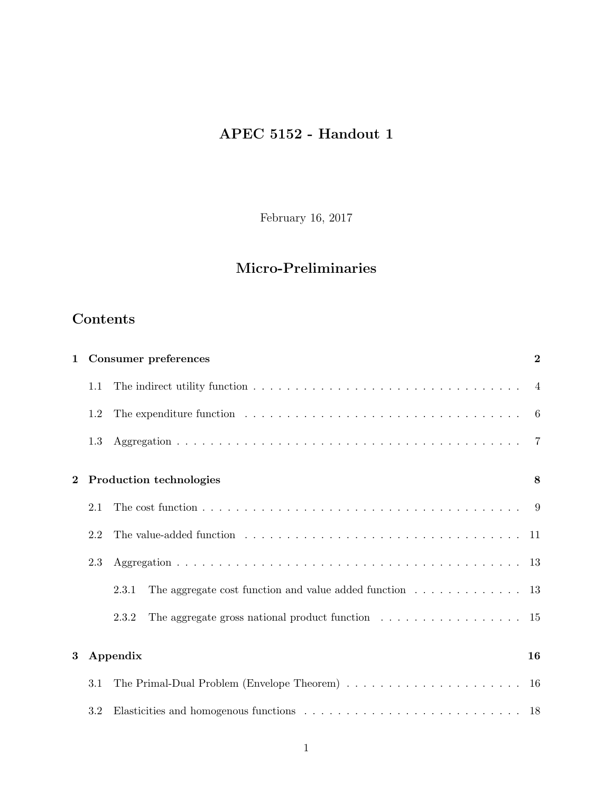# APEC 5152 - Handout 1

February 16, 2017

# Micro-Preliminaries

## Contents

| $\mathbf{1}$   |     | <b>Consumer preferences</b>                                                                                         | $\overline{2}$ |
|----------------|-----|---------------------------------------------------------------------------------------------------------------------|----------------|
|                | 1.1 | The indirect utility function $\dots \dots \dots \dots \dots \dots \dots \dots \dots \dots \dots \dots \dots \dots$ |                |
|                | 1.2 | The expenditure function $\ldots \ldots \ldots \ldots \ldots \ldots \ldots \ldots \ldots \ldots \ldots$             |                |
|                | 1.3 |                                                                                                                     |                |
| $\overline{2}$ |     | Production technologies                                                                                             | 8              |
|                | 2.1 | The cost function $\ldots \ldots \ldots \ldots \ldots \ldots \ldots \ldots \ldots \ldots \ldots \ldots$             |                |
|                | 2.2 | The value-added function $\ldots \ldots \ldots \ldots \ldots \ldots \ldots \ldots \ldots \ldots \ldots$             |                |
|                | 2.3 |                                                                                                                     |                |
|                |     | The aggregate cost function and value added function<br>$\hfill\ldots\ldots\ldots\ldots\ldots\ldots\ 13$<br>2.3.1   |                |
|                |     | The aggregate gross national product function $\dots \dots \dots \dots \dots \dots \dots \dots$ 15<br>2.3.2         |                |
| 3              |     | Appendix                                                                                                            | 16             |
|                | 3.1 |                                                                                                                     |                |
|                | 3.2 |                                                                                                                     |                |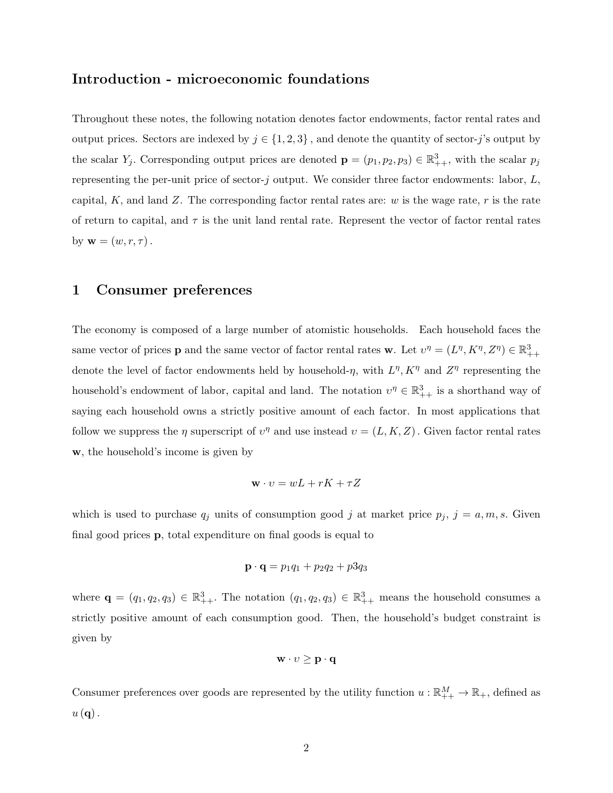### Introduction - microeconomic foundations

Throughout these notes, the following notation denotes factor endowments, factor rental rates and output prices. Sectors are indexed by  $j \in \{1, 2, 3\}$ , and denote the quantity of sector-j's output by the scalar  $Y_j$ . Corresponding output prices are denoted  $\mathbf{p} = (p_1, p_2, p_3) \in \mathbb{R}^3_{++}$ , with the scalar  $p_j$ representing the per-unit price of sector- $j$  output. We consider three factor endowments: labor,  $L$ , capital, K, and land Z. The corresponding factor rental rates are: w is the wage rate, r is the rate of return to capital, and  $\tau$  is the unit land rental rate. Represent the vector of factor rental rates by  $\mathbf{w} = (w, r, \tau)$ .

## 1 Consumer preferences

The economy is composed of a large number of atomistic households. Each household faces the same vector of prices **p** and the same vector of factor rental rates **w**. Let  $v^{\eta} = (L^{\eta}, K^{\eta}, Z^{\eta}) \in \mathbb{R}^3_{++}$ denote the level of factor endowments held by household- $\eta$ , with  $L^{\eta}$ ,  $K^{\eta}$  and  $Z^{\eta}$  representing the household's endowment of labor, capital and land. The notation  $v^{\eta} \in \mathbb{R}^3_{++}$  is a shorthand way of saying each household owns a strictly positive amount of each factor. In most applications that follow we suppress the  $\eta$  superscript of  $v^{\eta}$  and use instead  $v = (L, K, Z)$ . Given factor rental rates w, the household's income is given by

$$
\mathbf{w} \cdot v = wL + rK + \tau Z
$$

which is used to purchase  $q_j$  units of consumption good j at market price  $p_j$ ,  $j = a, m, s$ . Given final good prices p, total expenditure on final goods is equal to

$$
\mathbf{p} \cdot \mathbf{q} = p_1 q_1 + p_2 q_2 + p_3 q_3
$$

where  $\mathbf{q} = (q_1, q_2, q_3) \in \mathbb{R}^3_{++}$ . The notation  $(q_1, q_2, q_3) \in \mathbb{R}^3_{++}$  means the household consumes a strictly positive amount of each consumption good. Then, the household's budget constraint is given by

$$
\mathbf{w}\cdot\mathbf{v}\geq \mathbf{p}\cdot\mathbf{q}
$$

Consumer preferences over goods are represented by the utility function  $u:\mathbb{R}^M_{++} \to \mathbb{R}_+$ , defined as  $u(\mathbf{q})$ .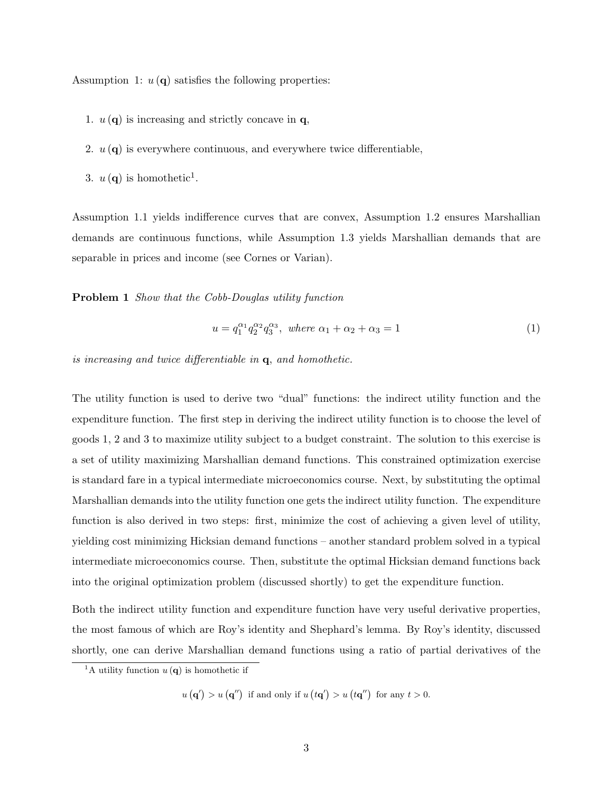Assumption 1:  $u(\mathbf{q})$  satisfies the following properties:

- 1.  $u(\mathbf{q})$  is increasing and strictly concave in  $\mathbf{q}$ ,
- 2.  $u(\mathbf{q})$  is everywhere continuous, and everywhere twice differentiable,
- 3.  $u(\mathbf{q})$  is homothetic<sup>1</sup>.

Assumption 1.1 yields indifference curves that are convex, Assumption 1.2 ensures Marshallian demands are continuous functions, while Assumption 1.3 yields Marshallian demands that are separable in prices and income (see Cornes or Varian).

Problem 1 Show that the Cobb-Douglas utility function

$$
u = q_1^{\alpha_1} q_2^{\alpha_2} q_3^{\alpha_3}, \text{ where } \alpha_1 + \alpha_2 + \alpha_3 = 1 \tag{1}
$$

is increasing and twice differentiable in q, and homothetic.

The utility function is used to derive two "dual" functions: the indirect utility function and the expenditure function. The first step in deriving the indirect utility function is to choose the level of goods 1, 2 and 3 to maximize utility subject to a budget constraint. The solution to this exercise is a set of utility maximizing Marshallian demand functions. This constrained optimization exercise is standard fare in a typical intermediate microeconomics course. Next, by substituting the optimal Marshallian demands into the utility function one gets the indirect utility function. The expenditure function is also derived in two steps: first, minimize the cost of achieving a given level of utility, yielding cost minimizing Hicksian demand functions – another standard problem solved in a typical intermediate microeconomics course. Then, substitute the optimal Hicksian demand functions back into the original optimization problem (discussed shortly) to get the expenditure function.

Both the indirect utility function and expenditure function have very useful derivative properties, the most famous of which are Roy's identity and Shephard's lemma. By Roy's identity, discussed shortly, one can derive Marshallian demand functions using a ratio of partial derivatives of the

<sup>&</sup>lt;sup>1</sup>A utility function  $u(\mathbf{q})$  is homothetic if

 $u(\mathbf{q}') > u(\mathbf{q}'')$  if and only if  $u(t\mathbf{q}') > u(t\mathbf{q}'')$  for any  $t > 0$ .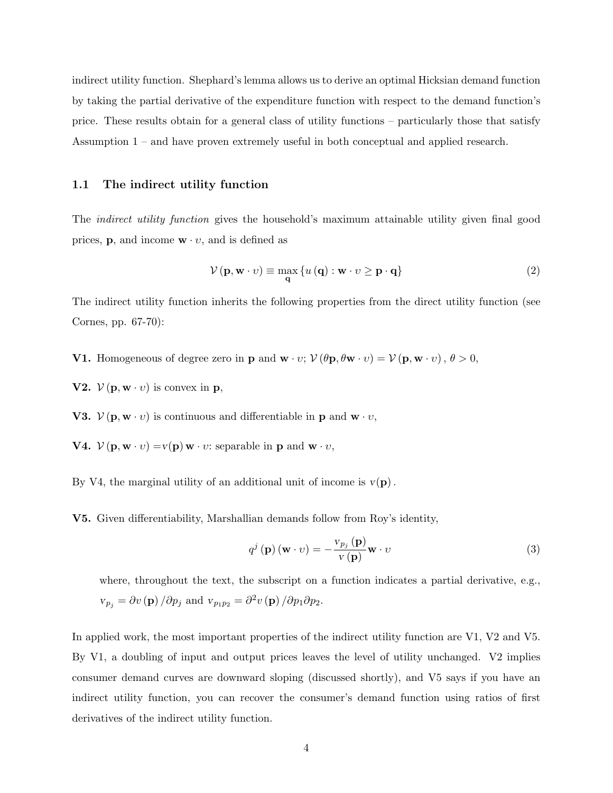indirect utility function. Shephard's lemma allows us to derive an optimal Hicksian demand function by taking the partial derivative of the expenditure function with respect to the demand function's price. These results obtain for a general class of utility functions – particularly those that satisfy Assumption 1 – and have proven extremely useful in both conceptual and applied research.

#### 1.1 The indirect utility function

The *indirect utility function* gives the household's maximum attainable utility given final good prices, **p**, and income  $\mathbf{w} \cdot v$ , and is defined as

$$
\mathcal{V}(\mathbf{p}, \mathbf{w} \cdot v) \equiv \max_{\mathbf{q}} \{ u(\mathbf{q}) : \mathbf{w} \cdot v \ge \mathbf{p} \cdot \mathbf{q} \}
$$
 (2)

The indirect utility function inherits the following properties from the direct utility function (see Cornes, pp. 67-70):

- **V1.** Homogeneous of degree zero in **p** and  $\mathbf{w} \cdot v$ ;  $\mathcal{V}(\theta \mathbf{p}, \theta \mathbf{w} \cdot v) = \mathcal{V}(\mathbf{p}, \mathbf{w} \cdot v)$ ,  $\theta > 0$ ,
- **V2.**  $V(\mathbf{p}, \mathbf{w} \cdot v)$  is convex in **p**,

**V3.**  $V(\mathbf{p}, \mathbf{w} \cdot v)$  is continuous and differentiable in **p** and **w**  $\cdot v$ ,

**V4.**  $V(\mathbf{p}, \mathbf{w} \cdot v) = v(\mathbf{p}) \mathbf{w} \cdot v$ : separable in **p** and **w**  $\cdot v$ ,

By V4, the marginal utility of an additional unit of income is  $v(\mathbf{p})$ .

V5. Given differentiability, Marshallian demands follow from Roy's identity,

$$
q^{j}(\mathbf{p})(\mathbf{w} \cdot v) = -\frac{v_{p_{j}}(\mathbf{p})}{v(\mathbf{p})}\mathbf{w} \cdot v
$$
\n(3)

where, throughout the text, the subscript on a function indicates a partial derivative, e.g.,  $v_{p_j} = \partial v(\mathbf{p})/\partial p_j$  and  $v_{p_1p_2} = \partial^2 v(\mathbf{p})/\partial p_1 \partial p_2$ .

In applied work, the most important properties of the indirect utility function are V1, V2 and V5. By V1, a doubling of input and output prices leaves the level of utility unchanged. V2 implies consumer demand curves are downward sloping (discussed shortly), and V5 says if you have an indirect utility function, you can recover the consumer's demand function using ratios of first derivatives of the indirect utility function.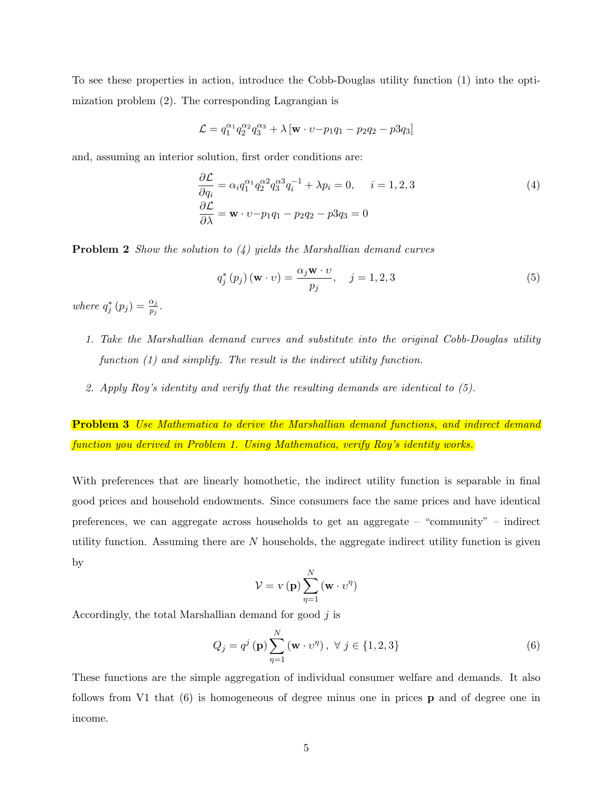To see these properties in action, introduce the Cobb-Douglas utility function (1) into the optimization problem (2). The corresponding Lagrangian is

$$
\mathcal{L}=q_1^{\alpha_1}q_2^{\alpha_2}q_3^{\alpha_3}+\lambda\left[\mathbf{w}\cdot v{-}p_1q_1-p_2q_2-p3q_3\right]
$$

and, assuming an interior solution, first order conditions are:

$$
\frac{\partial \mathcal{L}}{\partial q_i} = \alpha_i q_1^{\alpha_1} q_2^{\alpha_2} q_3^{\alpha_3} q_i^{-1} + \lambda p_i = 0, \quad i = 1, 2, 3
$$
\n
$$
\frac{\partial \mathcal{L}}{\partial \lambda} = \mathbf{w} \cdot v - p_1 q_1 - p_2 q_2 - p_3 q_3 = 0
$$
\n(4)

**Problem 2** Show the solution to  $(4)$  yields the Marshallian demand curves

$$
q_j^*(p_j) \left( \mathbf{w} \cdot v \right) = \frac{\alpha_j \mathbf{w} \cdot v}{p_j}, \quad j = 1, 2, 3 \tag{5}
$$

where  $q_j^*(p_j) = \frac{\alpha_j}{p_j}$ .

- 1. Take the Marshallian demand curves and substitute into the original Cobb-Douglas utility function (1) and simplify. The result is the indirect utility function.
- 2. Apply Roy's identity and verify that the resulting demands are identical to (5).

**Problem 3** Use Mathematica to derive the Marshallian demand functions, and indirect demand function you derived in Problem 1. Using Mathematica, verify Roy's identity works.

With preferences that are linearly homothetic, the indirect utility function is separable in final good prices and household endowments. Since consumers face the same prices and have identical preferences, we can aggregate across households to get an aggregate – "community" – indirect utility function. Assuming there are  $N$  households, the aggregate indirect utility function is given by

$$
V = v(\mathbf{p}) \sum_{\eta=1}^{N} (\mathbf{w} \cdot v^{\eta})
$$

Accordingly, the total Marshallian demand for good  $j$  is

$$
Q_j = q^j \left( \mathbf{p} \right) \sum_{\eta=1}^N \left( \mathbf{w} \cdot v^{\eta} \right), \ \forall \ j \in \{1, 2, 3\} \tag{6}
$$

These functions are the simple aggregation of individual consumer welfare and demands. It also follows from V1 that (6) is homogeneous of degree minus one in prices p and of degree one in income.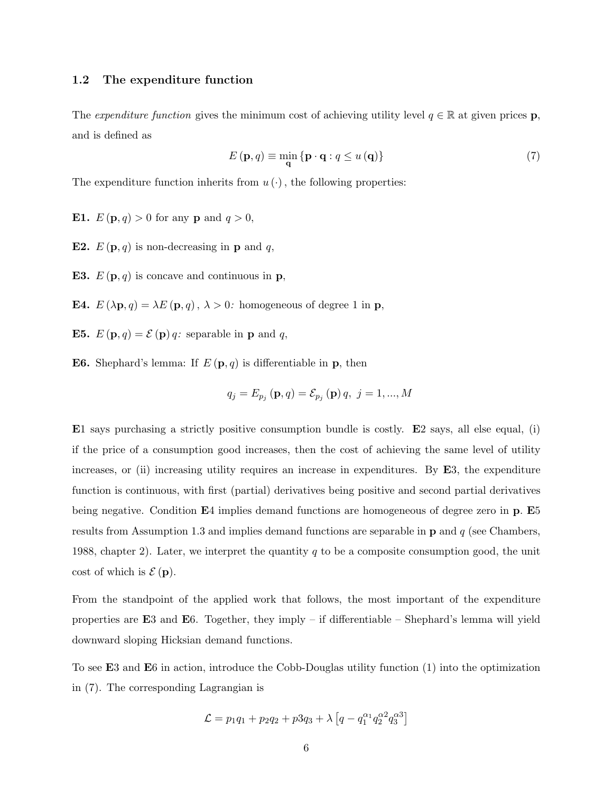#### 1.2 The expenditure function

The expenditure function gives the minimum cost of achieving utility level  $q \in \mathbb{R}$  at given prices p, and is defined as

$$
E(\mathbf{p}, q) \equiv \min_{\mathbf{q}} \{ \mathbf{p} \cdot \mathbf{q} : q \le u(\mathbf{q}) \}
$$
 (7)

The expenditure function inherits from  $u(\cdot)$ , the following properties:

- **E1.**  $E(p, q) > 0$  for any **p** and  $q > 0$ ,
- **E2.**  $E(\mathbf{p}, q)$  is non-decreasing in **p** and q,
- **E3.**  $E(\mathbf{p}, q)$  is concave and continuous in **p**,
- **E4.**  $E(\lambda \mathbf{p}, q) = \lambda E(\mathbf{p}, q), \lambda > 0$ : homogeneous of degree 1 in **p**,
- **E5.**  $E(\mathbf{p}, q) = \mathcal{E}(\mathbf{p}) q$ : separable in **p** and *q*,
- **E6.** Shephard's lemma: If  $E(\mathbf{p}, q)$  is differentiable in **p**, then

$$
q_j = E_{p_j}(\mathbf{p}, q) = \mathcal{E}_{p_j}(\mathbf{p}) q, j = 1, ..., M
$$

E1 says purchasing a strictly positive consumption bundle is costly. E2 says, all else equal, (i) if the price of a consumption good increases, then the cost of achieving the same level of utility increases, or (ii) increasing utility requires an increase in expenditures. By E3, the expenditure function is continuous, with first (partial) derivatives being positive and second partial derivatives being negative. Condition E4 implies demand functions are homogeneous of degree zero in **p**. E5 results from Assumption 1.3 and implies demand functions are separable in  $\bf{p}$  and  $q$  (see Chambers, 1988, chapter 2). Later, we interpret the quantity q to be a composite consumption good, the unit cost of which is  $\mathcal{E}(\mathbf{p})$ .

From the standpoint of the applied work that follows, the most important of the expenditure properties are  $E3$  and  $E6$ . Together, they imply – if differentiable – Shephard's lemma will yield downward sloping Hicksian demand functions.

To see E3 and E6 in action, introduce the Cobb-Douglas utility function (1) into the optimization in (7). The corresponding Lagrangian is

$$
\mathcal{L} = p_1 q_1 + p_2 q_2 + p_3 q_3 + \lambda \left[ q - q_1^{\alpha_1} q_2^{\alpha_2} q_3^{\alpha_3} \right]
$$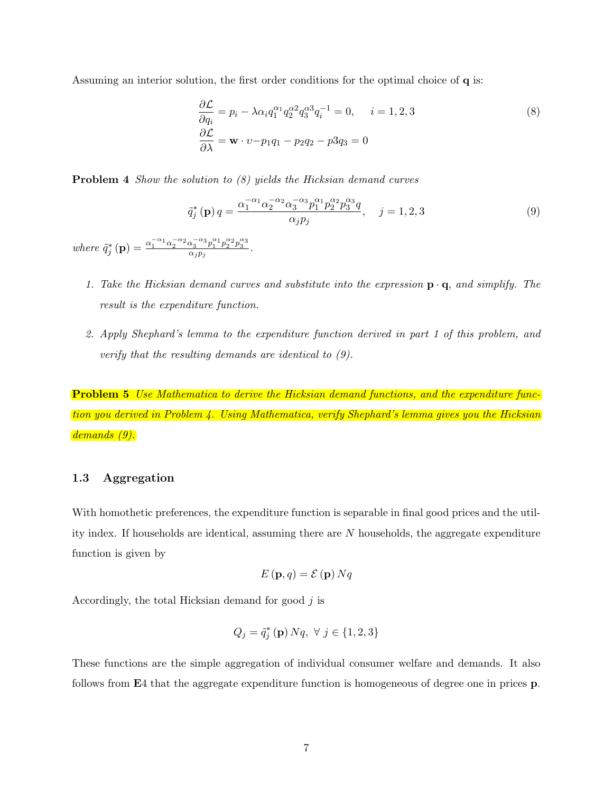Assuming an interior solution, the first order conditions for the optimal choice of q is:

$$
\frac{\partial \mathcal{L}}{\partial q_i} = p_i - \lambda \alpha_i q_1^{\alpha_1} q_2^{\alpha_2} q_3^{\alpha_3} q_i^{-1} = 0, \quad i = 1, 2, 3
$$
\n
$$
\frac{\partial \mathcal{L}}{\partial \lambda} = \mathbf{w} \cdot v - p_1 q_1 - p_2 q_2 - p_3 q_3 = 0
$$
\n(8)

**Problem 4** Show the solution to (8) yields the Hicksian demand curves

$$
\tilde{q}_{j}^{*}\left(\mathbf{p}\right)q = \frac{\alpha_{1}^{-\alpha_{1}}\alpha_{2}^{-\alpha_{2}}\alpha_{3}^{-\alpha_{3}}p_{1}^{\alpha_{1}}p_{2}^{\alpha_{2}}p_{3}^{\alpha_{3}}q}{\alpha_{j}p_{j}}, \quad j = 1, 2, 3
$$
\n(9)

where  $\tilde{q}_j^* (\mathbf{p}) = \frac{\alpha_1^{-\alpha_1} \alpha_2^{-\alpha_2} \alpha_3^{-\alpha_3} p_1^{\alpha_1} p_2^{\alpha_2} p_3^{\alpha_3}}{\alpha_j p_j}.$ 

- 1. Take the Hicksian demand curves and substitute into the expression  $\mathbf{p} \cdot \mathbf{q}$ , and simplify. The result is the expenditure function.
- 2. Apply Shephard's lemma to the expenditure function derived in part 1 of this problem, and verify that the resulting demands are identical to (9).

**Problem 5** Use Mathematica to derive the Hicksian demand functions, and the expenditure function you derived in Problem 4. Using Mathematica, verify Shephard's lemma gives you the Hicksian demands (9).

#### 1.3 Aggregation

With homothetic preferences, the expenditure function is separable in final good prices and the utility index. If households are identical, assuming there are  $N$  households, the aggregate expenditure function is given by

$$
E(\mathbf{p},q) = \mathcal{E}(\mathbf{p}) N q
$$

Accordingly, the total Hicksian demand for good  $j$  is

$$
Q_j = \tilde{q}_j^* \left( \mathbf{p} \right) Nq, \ \forall \ j \in \{1, 2, 3 \}
$$

These functions are the simple aggregation of individual consumer welfare and demands. It also follows from E4 that the aggregate expenditure function is homogeneous of degree one in prices p.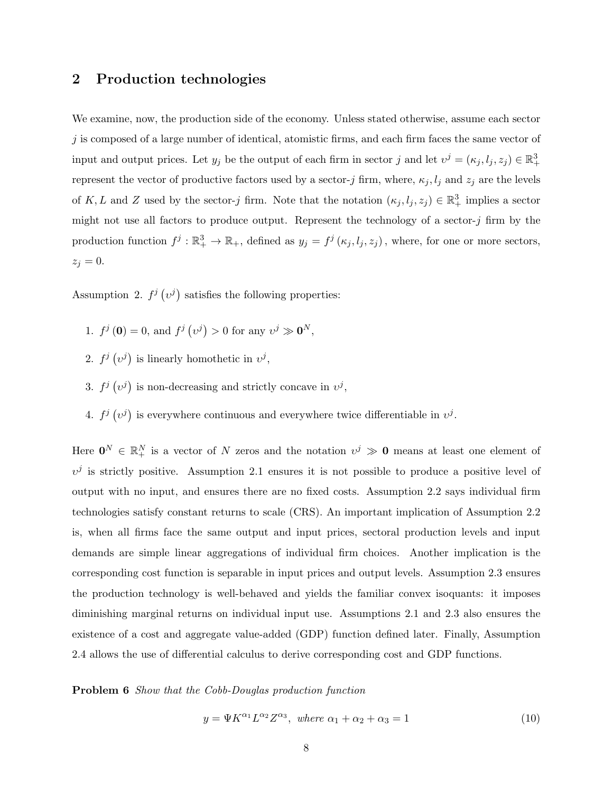## 2 Production technologies

We examine, now, the production side of the economy. Unless stated otherwise, assume each sector  $j$  is composed of a large number of identical, atomistic firms, and each firm faces the same vector of input and output prices. Let  $y_j$  be the output of each firm in sector j and let  $v^j = (\kappa_j, l_j, z_j) \in \mathbb{R}^3_+$ represent the vector of productive factors used by a sector-j firm, where,  $\kappa_j, l_j$  and  $z_j$  are the levels of K, L and Z used by the sector-j firm. Note that the notation  $(\kappa_j, l_j, z_j) \in \mathbb{R}^3_+$  implies a sector might not use all factors to produce output. Represent the technology of a sector- $j$  firm by the production function  $f^j: \mathbb{R}^3_+ \to \mathbb{R}_+$ , defined as  $y_j = f^j(\kappa_j, l_j, z_j)$ , where, for one or more sectors,  $z_j = 0.$ 

Assumption 2.  $f^j(v^j)$  satisfies the following properties:

- 1.  $f^j(\mathbf{0}) = 0$ , and  $f^j(v^j) > 0$  for any  $v^j \gg \mathbf{0}^N$ ,
- 2.  $f^j(v^j)$  is linearly homothetic in  $v^j$ ,
- 3.  $f^j(v^j)$  is non-decreasing and strictly concave in  $v^j$ ,
- 4.  $f^j(v^j)$  is everywhere continuous and everywhere twice differentiable in  $v^j$ .

Here  $\mathbf{0}^N \in \mathbb{R}_+^N$  is a vector of N zeros and the notation  $v^j \gg \mathbf{0}$  means at least one element of  $v^j$  is strictly positive. Assumption 2.1 ensures it is not possible to produce a positive level of output with no input, and ensures there are no fixed costs. Assumption 2.2 says individual firm technologies satisfy constant returns to scale (CRS). An important implication of Assumption 2.2 is, when all firms face the same output and input prices, sectoral production levels and input demands are simple linear aggregations of individual firm choices. Another implication is the corresponding cost function is separable in input prices and output levels. Assumption 2.3 ensures the production technology is well-behaved and yields the familiar convex isoquants: it imposes diminishing marginal returns on individual input use. Assumptions 2.1 and 2.3 also ensures the existence of a cost and aggregate value-added (GDP) function defined later. Finally, Assumption 2.4 allows the use of differential calculus to derive corresponding cost and GDP functions.

Problem 6 Show that the Cobb-Douglas production function

$$
y = \Psi K^{\alpha_1} L^{\alpha_2} Z^{\alpha_3}, \text{ where } \alpha_1 + \alpha_2 + \alpha_3 = 1 \tag{10}
$$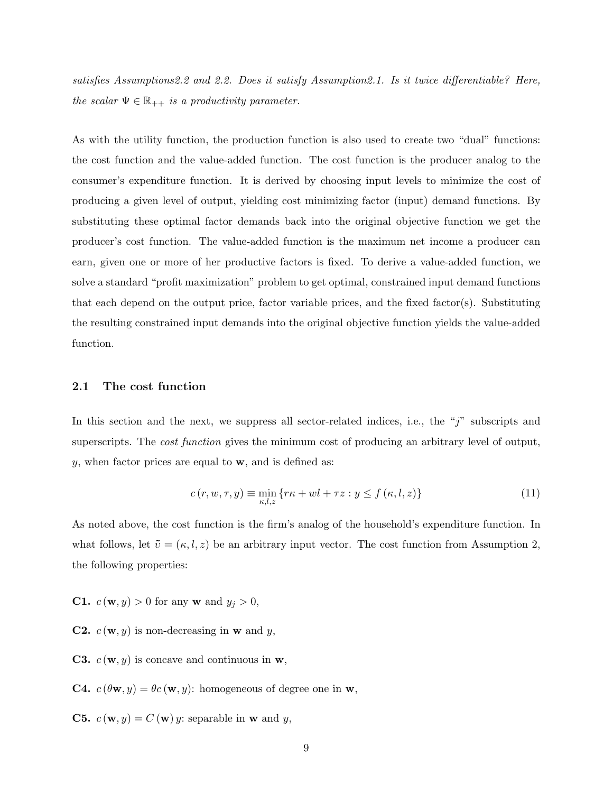satisfies Assumptions2.2 and 2.2. Does it satisfy Assumption2.1. Is it twice differentiable? Here, the scalar  $\Psi \in \mathbb{R}_{++}$  is a productivity parameter.

As with the utility function, the production function is also used to create two "dual" functions: the cost function and the value-added function. The cost function is the producer analog to the consumer's expenditure function. It is derived by choosing input levels to minimize the cost of producing a given level of output, yielding cost minimizing factor (input) demand functions. By substituting these optimal factor demands back into the original objective function we get the producer's cost function. The value-added function is the maximum net income a producer can earn, given one or more of her productive factors is fixed. To derive a value-added function, we solve a standard "profit maximization" problem to get optimal, constrained input demand functions that each depend on the output price, factor variable prices, and the fixed factor(s). Substituting the resulting constrained input demands into the original objective function yields the value-added function.

#### 2.1 The cost function

In this section and the next, we suppress all sector-related indices, i.e., the "j" subscripts and superscripts. The *cost function* gives the minimum cost of producing an arbitrary level of output,  $y$ , when factor prices are equal to  $\mathbf{w}$ , and is defined as:

$$
c(r, w, \tau, y) \equiv \min_{\kappa, l, z} \{ r\kappa + w\ell + \tau z : y \le f(\kappa, l, z) \}
$$
\n(11)

As noted above, the cost function is the firm's analog of the household's expenditure function. In what follows, let  $\tilde{v} = (\kappa, l, z)$  be an arbitrary input vector. The cost function from Assumption 2, the following properties:

- **C1.**  $c(\mathbf{w}, y) > 0$  for any **w** and  $y_j > 0$ ,
- **C2.**  $c(\mathbf{w}, y)$  is non-decreasing in **w** and *y*,
- **C3.**  $c(\mathbf{w}, y)$  is concave and continuous in  $\mathbf{w}$ ,
- **C4.**  $c(\theta \mathbf{w}, y) = \theta c(\mathbf{w}, y)$ : homogeneous of degree one in **w**,
- **C5.**  $c(\mathbf{w}, y) = C(\mathbf{w})y$ : separable in **w** and *y*,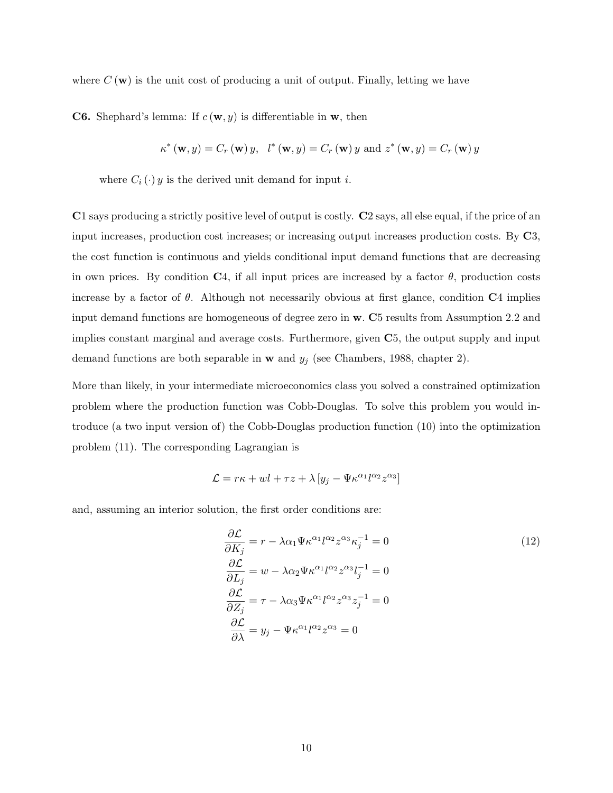where  $C(\mathbf{w})$  is the unit cost of producing a unit of output. Finally, letting we have

**C6.** Shephard's lemma: If  $c(\mathbf{w}, y)$  is differentiable in **w**, then

$$
\kappa^*(\mathbf{w}, y) = C_r(\mathbf{w})y
$$
,  $l^*(\mathbf{w}, y) = C_r(\mathbf{w})y$  and  $z^*(\mathbf{w}, y) = C_r(\mathbf{w})y$ 

where  $C_i(\cdot)$  y is the derived unit demand for input *i*.

C1 says producing a strictly positive level of output is costly. C2 says, all else equal, if the price of an input increases, production cost increases; or increasing output increases production costs. By C3, the cost function is continuous and yields conditional input demand functions that are decreasing in own prices. By condition C4, if all input prices are increased by a factor  $\theta$ , production costs increase by a factor of  $\theta$ . Although not necessarily obvious at first glance, condition  $C_4$  implies input demand functions are homogeneous of degree zero in w. C5 results from Assumption 2.2 and implies constant marginal and average costs. Furthermore, given C5, the output supply and input demand functions are both separable in **w** and  $y_j$  (see Chambers, 1988, chapter 2).

More than likely, in your intermediate microeconomics class you solved a constrained optimization problem where the production function was Cobb-Douglas. To solve this problem you would introduce (a two input version of) the Cobb-Douglas production function (10) into the optimization problem (11). The corresponding Lagrangian is

$$
\mathcal{L} = r\kappa + w\mathbf{i} + \tau z + \lambda \left[ y_j - \Psi \kappa^{\alpha_1} \mathbf{i}^{\alpha_2} z^{\alpha_3} \right]
$$

and, assuming an interior solution, the first order conditions are:

$$
\frac{\partial \mathcal{L}}{\partial K_j} = r - \lambda \alpha_1 \Psi \kappa^{\alpha_1} l^{\alpha_2} z^{\alpha_3} \kappa_j^{-1} = 0
$$
\n
$$
\frac{\partial \mathcal{L}}{\partial L_j} = w - \lambda \alpha_2 \Psi \kappa^{\alpha_1} l^{\alpha_2} z^{\alpha_3} l_j^{-1} = 0
$$
\n
$$
\frac{\partial \mathcal{L}}{\partial Z_j} = \tau - \lambda \alpha_3 \Psi \kappa^{\alpha_1} l^{\alpha_2} z^{\alpha_3} z_j^{-1} = 0
$$
\n
$$
\frac{\partial \mathcal{L}}{\partial \lambda} = y_j - \Psi \kappa^{\alpha_1} l^{\alpha_2} z^{\alpha_3} = 0
$$
\n(12)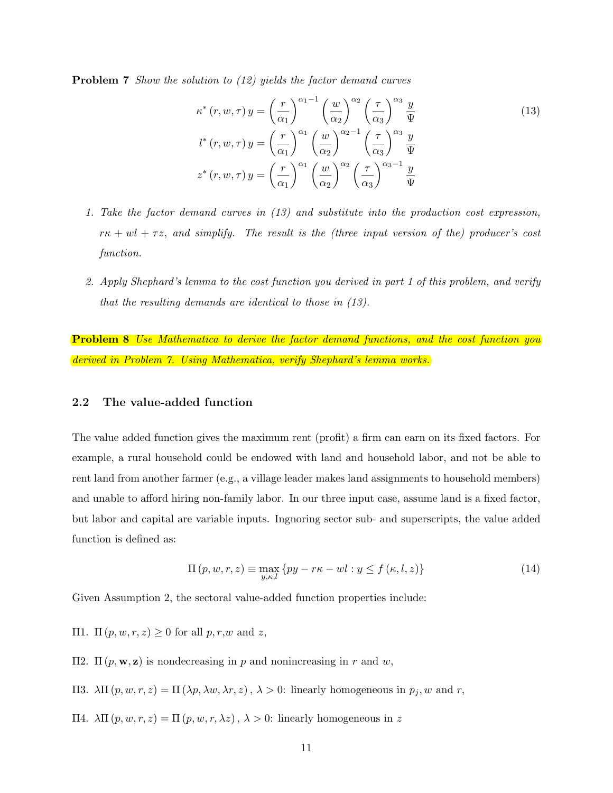**Problem 7** Show the solution to (12) yields the factor demand curves

$$
\kappa^*(r, w, \tau) y = \left(\frac{r}{\alpha_1}\right)^{\alpha_1 - 1} \left(\frac{w}{\alpha_2}\right)^{\alpha_2} \left(\frac{\tau}{\alpha_3}\right)^{\alpha_3} \frac{y}{\Psi}
$$
  
\n
$$
l^*(r, w, \tau) y = \left(\frac{r}{\alpha_1}\right)^{\alpha_1} \left(\frac{w}{\alpha_2}\right)^{\alpha_2 - 1} \left(\frac{\tau}{\alpha_3}\right)^{\alpha_3} \frac{y}{\Psi}
$$
  
\n
$$
z^*(r, w, \tau) y = \left(\frac{r}{\alpha_1}\right)^{\alpha_1} \left(\frac{w}{\alpha_2}\right)^{\alpha_2} \left(\frac{\tau}{\alpha_3}\right)^{\alpha_3 - 1} \frac{y}{\Psi}
$$
 (13)

- 1. Take the factor demand curves in (13) and substitute into the production cost expression,  $r\kappa + w\ell + \tau z$ , and simplify. The result is the (three input version of the) producer's cost function.
- 2. Apply Shephard's lemma to the cost function you derived in part 1 of this problem, and verify that the resulting demands are identical to those in (13).

**Problem 8** Use Mathematica to derive the factor demand functions, and the cost function you derived in Problem 7. Using Mathematica, verify Shephard's lemma works.

#### 2.2 The value-added function

The value added function gives the maximum rent (profit) a firm can earn on its fixed factors. For example, a rural household could be endowed with land and household labor, and not be able to rent land from another farmer (e.g., a village leader makes land assignments to household members) and unable to afford hiring non-family labor. In our three input case, assume land is a fixed factor, but labor and capital are variable inputs. Ingnoring sector sub- and superscripts, the value added function is defined as:

$$
\Pi(p, w, r, z) \equiv \max_{y, \kappa, l} \{ py - r\kappa - w_l : y \le f(\kappa, l, z) \}
$$
\n(14)

Given Assumption 2, the sectoral value-added function properties include:

- $Π1. Π(p, w, r, z) ≥ 0$  for all  $p, r, w$  and  $z$ ,
- Π2. Π ( $p$ , **w**, **z**) is nondecreasing in p and nonincreasing in r and w,
- Π3.  $\lambda\Pi(p, w, r, z) = \Pi(\lambda p, \lambda w, \lambda r, z), \lambda > 0$ : linearly homogeneous in  $p_j, w$  and  $r$ ,
- Π4.  $\lambda \Pi(p, w, r, z) = \Pi(p, w, r, \lambda z), \lambda > 0$ : linearly homogeneous in z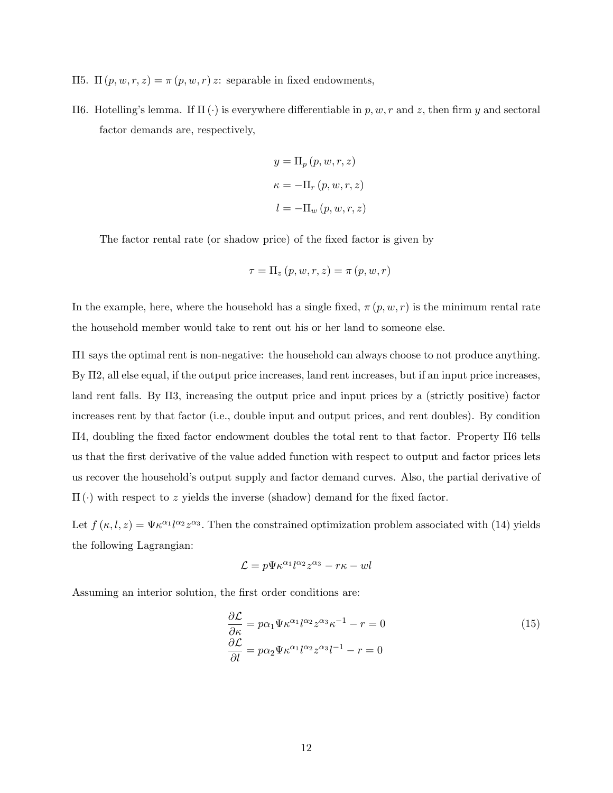- Π5. Π  $(p, w, r, z) = π (p, w, r) z$ : separable in fixed endowments,
- Π6. Hotelling's lemma. If Π (·) is everywhere differentiable in p, w, r and z, then firm y and sectoral factor demands are, respectively,

$$
y = \Pi_p(p, w, r, z)
$$

$$
\kappa = -\Pi_r(p, w, r, z)
$$

$$
l = -\Pi_w(p, w, r, z)
$$

The factor rental rate (or shadow price) of the fixed factor is given by

$$
\tau = \Pi_z(p, w, r, z) = \pi(p, w, r)
$$

In the example, here, where the household has a single fixed,  $\pi(p, w, r)$  is the minimum rental rate the household member would take to rent out his or her land to someone else.

Π1 says the optimal rent is non-negative: the household can always choose to not produce anything. By Π2, all else equal, if the output price increases, land rent increases, but if an input price increases, land rent falls. By Π3, increasing the output price and input prices by a (strictly positive) factor increases rent by that factor (i.e., double input and output prices, and rent doubles). By condition Π4, doubling the fixed factor endowment doubles the total rent to that factor. Property Π6 tells us that the first derivative of the value added function with respect to output and factor prices lets us recover the household's output supply and factor demand curves. Also, the partial derivative of  $\Pi(\cdot)$  with respect to z yields the inverse (shadow) demand for the fixed factor.

Let  $f(\kappa, l, z) = \Psi \kappa^{\alpha_1} l^{\alpha_2} z^{\alpha_3}$ . Then the constrained optimization problem associated with (14) yields the following Lagrangian:

$$
\mathcal{L} = p\Psi \kappa^{\alpha_1} l^{\alpha_2} z^{\alpha_3} - r\kappa - w l
$$

Assuming an interior solution, the first order conditions are:

$$
\frac{\partial \mathcal{L}}{\partial \kappa} = p\alpha_1 \Psi \kappa^{\alpha_1} l^{\alpha_2} z^{\alpha_3} \kappa^{-1} - r = 0
$$
\n
$$
\frac{\partial \mathcal{L}}{\partial l} = p\alpha_2 \Psi \kappa^{\alpha_1} l^{\alpha_2} z^{\alpha_3} l^{-1} - r = 0
$$
\n(15)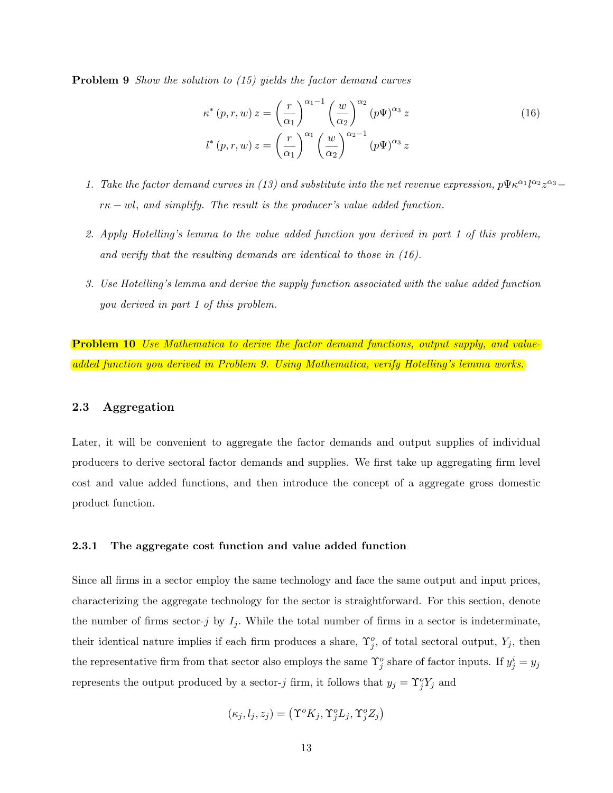**Problem 9** Show the solution to (15) yields the factor demand curves

$$
\kappa^*(p, r, w) z = \left(\frac{r}{\alpha_1}\right)^{\alpha_1 - 1} \left(\frac{w}{\alpha_2}\right)^{\alpha_2} (p\Psi)^{\alpha_3} z
$$
\n
$$
l^*(p, r, w) z = \left(\frac{r}{\alpha_1}\right)^{\alpha_1} \left(\frac{w}{\alpha_2}\right)^{\alpha_2 - 1} (p\Psi)^{\alpha_3} z
$$
\n(16)

- 1. Take the factor demand curves in (13) and substitute into the net revenue expression,  $p\Psi \kappa^{\alpha_1}l^{\alpha_2}z^{\alpha_3}$  $r\kappa - w l$ , and simplify. The result is the producer's value added function.
- 2. Apply Hotelling's lemma to the value added function you derived in part 1 of this problem, and verify that the resulting demands are identical to those in (16).
- 3. Use Hotelling's lemma and derive the supply function associated with the value added function you derived in part 1 of this problem.

**Problem 10** Use Mathematica to derive the factor demand functions, output supply, and valueadded function you derived in Problem 9. Using Mathematica, verify Hotelling's lemma works.

#### 2.3 Aggregation

Later, it will be convenient to aggregate the factor demands and output supplies of individual producers to derive sectoral factor demands and supplies. We first take up aggregating firm level cost and value added functions, and then introduce the concept of a aggregate gross domestic product function.

#### 2.3.1 The aggregate cost function and value added function

Since all firms in a sector employ the same technology and face the same output and input prices, characterizing the aggregate technology for the sector is straightforward. For this section, denote the number of firms sector-j by  $I_j$ . While the total number of firms in a sector is indeterminate, their identical nature implies if each firm produces a share,  $\Upsilon_j^o$ , of total sectoral output,  $Y_j$ , then the representative firm from that sector also employs the same  $\Upsilon_j^o$  share of factor inputs. If  $y_j^i = y_j$ represents the output produced by a sector-j firm, it follows that  $y_j = \Upsilon_j^o Y_j$  and

$$
(\kappa_j, l_j, z_j) = (\Upsilon^o K_j, \Upsilon^o_j L_j, \Upsilon^o_j Z_j)
$$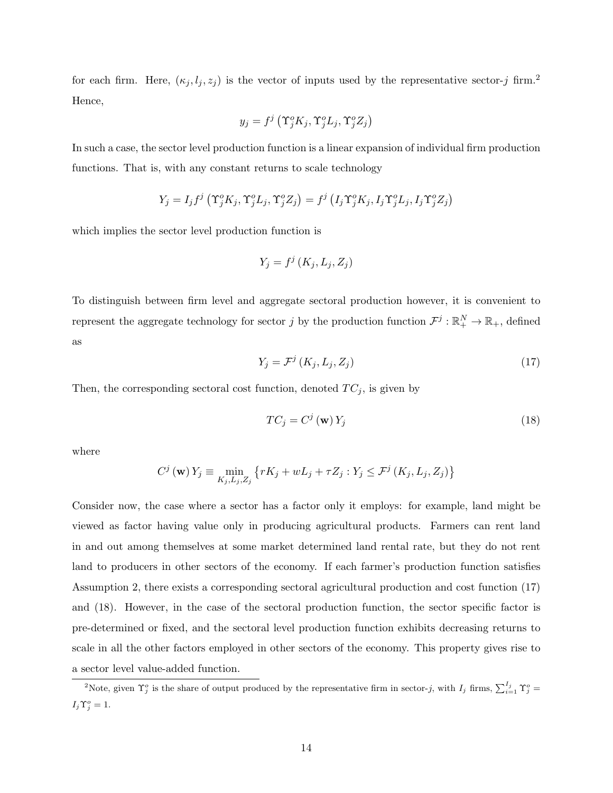for each firm. Here,  $(\kappa_j, l_j, z_j)$  is the vector of inputs used by the representative sector-j firm.<sup>2</sup> Hence,

$$
y_j = f^j\left(\Upsilon_j^o K_j, \Upsilon_j^o L_j, \Upsilon_j^o Z_j\right)
$$

In such a case, the sector level production function is a linear expansion of individual firm production functions. That is, with any constant returns to scale technology

$$
Y_j = I_j f^j \left( \Upsilon_j^o K_j, \Upsilon_j^o L_j, \Upsilon_j^o Z_j \right) = f^j \left( I_j \Upsilon_j^o K_j, I_j \Upsilon_j^o L_j, I_j \Upsilon_j^o Z_j \right)
$$

which implies the sector level production function is

$$
Y_j = f^j(K_j, L_j, Z_j)
$$

To distinguish between firm level and aggregate sectoral production however, it is convenient to represent the aggregate technology for sector j by the production function  $\mathcal{F}^j: \mathbb{R}_+^N \to \mathbb{R}_+$ , defined as

$$
Y_j = \mathcal{F}^j\left(K_j, L_j, Z_j\right) \tag{17}
$$

Then, the corresponding sectoral cost function, denoted  $TC_j$ , is given by

$$
TC_j = C^j(\mathbf{w})Y_j
$$
 (18)

where

$$
C^{j}(\mathbf{w}) Y_{j} \equiv \min_{K_{j},L_{j},Z_{j}} \left\{ rK_{j} + wL_{j} + \tau Z_{j} : Y_{j} \leq \mathcal{F}^{j} (K_{j},L_{j},Z_{j}) \right\}
$$

Consider now, the case where a sector has a factor only it employs: for example, land might be viewed as factor having value only in producing agricultural products. Farmers can rent land in and out among themselves at some market determined land rental rate, but they do not rent land to producers in other sectors of the economy. If each farmer's production function satisfies Assumption 2, there exists a corresponding sectoral agricultural production and cost function (17) and (18). However, in the case of the sectoral production function, the sector specific factor is pre-determined or fixed, and the sectoral level production function exhibits decreasing returns to scale in all the other factors employed in other sectors of the economy. This property gives rise to a sector level value-added function.

<sup>&</sup>lt;sup>2</sup>Note, given  $\Upsilon_j^o$  is the share of output produced by the representative firm in sector-j, with  $I_j$  firms,  $\sum_{i=1}^{I_j} \Upsilon_j^o =$  $I_j \Upsilon_j^o = 1.$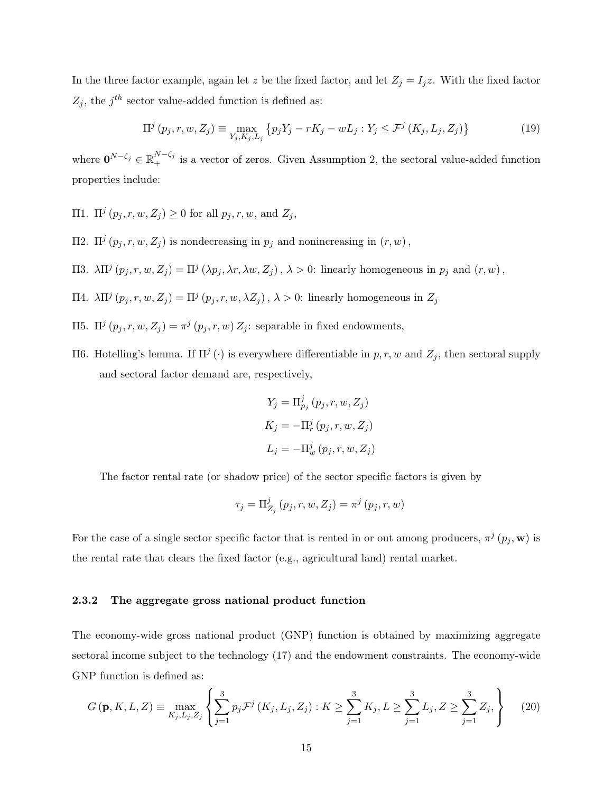In the three factor example, again let z be the fixed factor, and let  $Z_j = I_j z$ . With the fixed factor  $Z_j$ , the  $j<sup>th</sup>$  sector value-added function is defined as:

$$
\Pi^{j} (p_{j}, r, w, Z_{j}) \equiv \max_{Y_{j}, K_{j}, L_{j}} \{ p_{j} Y_{j} - rK_{j} - wL_{j} : Y_{j} \leq \mathcal{F}^{j} (K_{j}, L_{j}, Z_{j}) \}
$$
(19)

where  $\mathbf{0}^{N-\zeta_j} \in \mathbb{R}_+^{N-\zeta_j}$  is a vector of zeros. Given Assumption 2, the sectoral value-added function properties include:

- $\Pi$ 1. Π<sup>*j*</sup> (*p*<sub>j</sub>, *r*, *w*, *Z*<sub>j</sub>) ≥ 0 for all *p*<sub>j</sub>, *r*, *w*, and *Z*<sub>j</sub>,
- $\Pi$ 2.  $\Pi^j(p_j, r, w, Z_j)$  is nondecreasing in  $p_j$  and nonincreasing in  $(r, w)$ ,
- Π3.  $\lambda \Pi^{j} (p_j, r, w, Z_j) = \Pi^{j} (\lambda p_j, \lambda r, \lambda w, Z_j)$ ,  $\lambda > 0$ : linearly homogeneous in  $p_j$  and  $(r, w)$ ,
- Π4.  $\lambda \Pi^{j} (p_j, r, w, Z_j) = \Pi^{j} (p_j, r, w, \lambda Z_j)$ ,  $\lambda > 0$ : linearly homogeneous in  $Z_j$
- Π5. Π<sup>j</sup> ( $p_j$ , r, w, Z<sub>j</sub>) =  $\pi^j$  ( $p_j$ , r, w) Z<sub>j</sub>: separable in fixed endowments,
- Π6. Hotelling's lemma. If  $\Pi^j(·)$  is everywhere differentiable in p, r, w and  $Z_j$ , then sectoral supply and sectoral factor demand are, respectively,

$$
Y_j = \Pi_{p_j}^j (p_j, r, w, Z_j)
$$
  
\n
$$
K_j = -\Pi_r^j (p_j, r, w, Z_j)
$$
  
\n
$$
L_j = -\Pi_w^j (p_j, r, w, Z_j)
$$

The factor rental rate (or shadow price) of the sector specific factors is given by

$$
\tau_j=\Pi_{Z_j}^j\left(p_j,r,w,Z_j\right)=\pi^j\left(p_j,r,w\right)
$$

For the case of a single sector specific factor that is rented in or out among producers,  $\pi^{j}$   $(p_j, \mathbf{w})$  is the rental rate that clears the fixed factor (e.g., agricultural land) rental market.

#### 2.3.2 The aggregate gross national product function

The economy-wide gross national product (GNP) function is obtained by maximizing aggregate sectoral income subject to the technology (17) and the endowment constraints. The economy-wide GNP function is defined as:

$$
G(\mathbf{p}, K, L, Z) \equiv \max_{K_j, L_j, Z_j} \left\{ \sum_{j=1}^3 p_j \mathcal{F}^j \left( K_j, L_j, Z_j \right) : K \ge \sum_{j=1}^3 K_j, L \ge \sum_{j=1}^3 L_j, Z \ge \sum_{j=1}^3 Z_j, \right\}
$$
(20)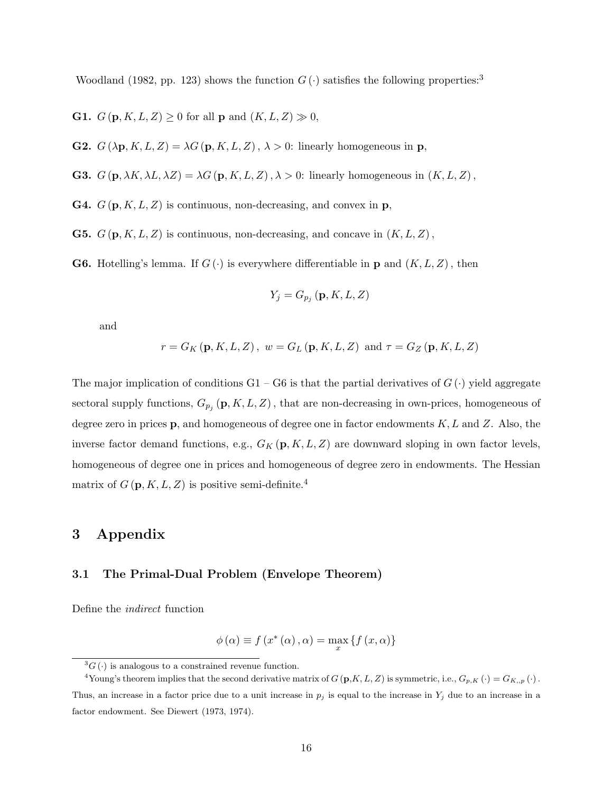Woodland (1982, pp. 123) shows the function  $G(\cdot)$  satisfies the following properties:<sup>3</sup>

**G1.**  $G(\mathbf{p}, K, L, Z) \geq 0$  for all **p** and  $(K, L, Z) \gg 0$ ,

**G2.**  $G(\lambda \mathbf{p}, K, L, Z) = \lambda G(\mathbf{p}, K, L, Z), \lambda > 0$ : linearly homogeneous in **p**,

**G3.**  $G(\mathbf{p}, \lambda K, \lambda L, \lambda Z) = \lambda G(\mathbf{p}, K, L, Z), \lambda > 0$ : linearly homogeneous in  $(K, L, Z)$ ,

**G4.**  $G(\mathbf{p}, K, L, Z)$  is continuous, non-decreasing, and convex in **p**,

**G5.**  $G(\mathbf{p}, K, L, Z)$  is continuous, non-decreasing, and concave in  $(K, L, Z)$ ,

**G6.** Hotelling's lemma. If  $G(\cdot)$  is everywhere differentiable in **p** and  $(K, L, Z)$ , then

$$
Y_j = G_{p_j}(\mathbf{p}, K, L, Z)
$$

and

$$
r = G_K(\mathbf{p}, K, L, Z), w = G_L(\mathbf{p}, K, L, Z)
$$
 and  $\tau = G_Z(\mathbf{p}, K, L, Z)$ 

The major implication of conditions  $G1 - G6$  is that the partial derivatives of  $G(\cdot)$  yield aggregate sectoral supply functions,  $G_{p_j}(\mathbf{p}, K, L, Z)$ , that are non-decreasing in own-prices, homogeneous of degree zero in prices  $\bf{p}$ , and homogeneous of degree one in factor endowments  $K, L$  and  $Z$ . Also, the inverse factor demand functions, e.g.,  $G_K(\mathbf{p}, K, L, Z)$  are downward sloping in own factor levels, homogeneous of degree one in prices and homogeneous of degree zero in endowments. The Hessian matrix of  $G(p, K, L, Z)$  is positive semi-definite.<sup>4</sup>

## 3 Appendix

#### 3.1 The Primal-Dual Problem (Envelope Theorem)

Define the indirect function

$$
\phi(\alpha) \equiv f(x^*(\alpha), \alpha) = \max_{x} \{f(x, \alpha)\}\
$$

 ${}^{3}G(.)$  is analogous to a constrained revenue function.

<sup>&</sup>lt;sup>4</sup>Young's theorem implies that the second derivative matrix of  $G(p,K,L,Z)$  is symmetric, i.e.,  $G_{p,K}(\cdot) = G_{K,p}(\cdot)$ . Thus, an increase in a factor price due to a unit increase in  $p_j$  is equal to the increase in  $Y_j$  due to an increase in a factor endowment. See Diewert (1973, 1974).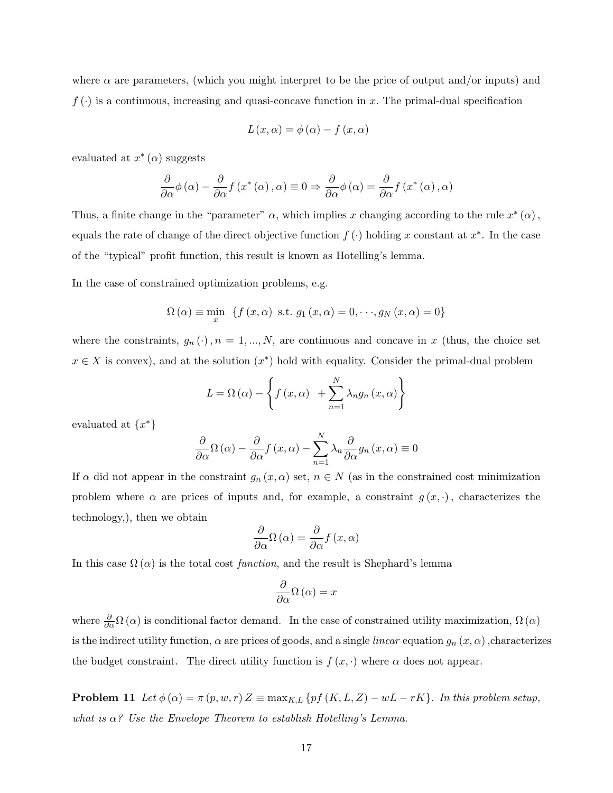where  $\alpha$  are parameters, (which you might interpret to be the price of output and/or inputs) and  $f(\cdot)$  is a continuous, increasing and quasi-concave function in x. The primal-dual specification

$$
L(x, \alpha) = \phi(\alpha) - f(x, \alpha)
$$

evaluated at  $x^*(\alpha)$  suggests

$$
\frac{\partial}{\partial \alpha}\phi(\alpha) - \frac{\partial}{\partial \alpha}f(x^*(\alpha), \alpha) \equiv 0 \Rightarrow \frac{\partial}{\partial \alpha}\phi(\alpha) = \frac{\partial}{\partial \alpha}f(x^*(\alpha), \alpha)
$$

Thus, a finite change in the "parameter"  $\alpha$ , which implies x changing according to the rule  $x^*(\alpha)$ , equals the rate of change of the direct objective function  $f(\cdot)$  holding x constant at  $x^*$ . In the case of the "typical" profit function, this result is known as Hotelling's lemma.

In the case of constrained optimization problems, e.g.

$$
\Omega\left(\alpha\right) \equiv \min_{x} \ \left\{f\left(x,\alpha\right) \text{ s.t. } g_1\left(x,\alpha\right) = 0, \cdots, g_N\left(x,\alpha\right) = 0\right\}
$$

where the constraints,  $g_n(\cdot)$ ,  $n = 1, ..., N$ , are continuous and concave in x (thus, the choice set  $x \in X$  is convex), and at the solution  $(x^*)$  hold with equality. Consider the primal-dual problem

$$
L = \Omega(\alpha) - \left\{ f(x, \alpha) + \sum_{n=1}^{N} \lambda_n g_n(x, \alpha) \right\}
$$

evaluated at  $\{x^*\}$ 

$$
\frac{\partial}{\partial \alpha} \Omega (\alpha) - \frac{\partial}{\partial \alpha} f(x, \alpha) - \sum_{n=1}^{N} \lambda_n \frac{\partial}{\partial \alpha} g_n(x, \alpha) \equiv 0
$$

If  $\alpha$  did not appear in the constraint  $g_n(x, \alpha)$  set,  $n \in N$  (as in the constrained cost minimization problem where  $\alpha$  are prices of inputs and, for example, a constraint  $g(x, \cdot)$ , characterizes the technology,), then we obtain

$$
\frac{\partial}{\partial \alpha} \Omega (\alpha) = \frac{\partial}{\partial \alpha} f(x, \alpha)
$$

In this case  $\Omega(\alpha)$  is the total cost function, and the result is Shephard's lemma

$$
\frac{\partial}{\partial \alpha} \Omega (\alpha) = x
$$

where  $\frac{\partial}{\partial \alpha} \Omega(\alpha)$  is conditional factor demand. In the case of constrained utility maximization,  $\Omega(\alpha)$ is the indirect utility function,  $\alpha$  are prices of goods, and a single *linear* equation  $g_n(x, \alpha)$ , characterizes the budget constraint. The direct utility function is  $f(x, \cdot)$  where  $\alpha$  does not appear.

**Problem 11** Let  $\phi(\alpha) = \pi(p, w, r) Z \equiv \max_{K, L} \{ pf(K, L, Z) - wL - rK \}.$  In this problem setup, what is  $\alpha$ ? Use the Envelope Theorem to establish Hotelling's Lemma.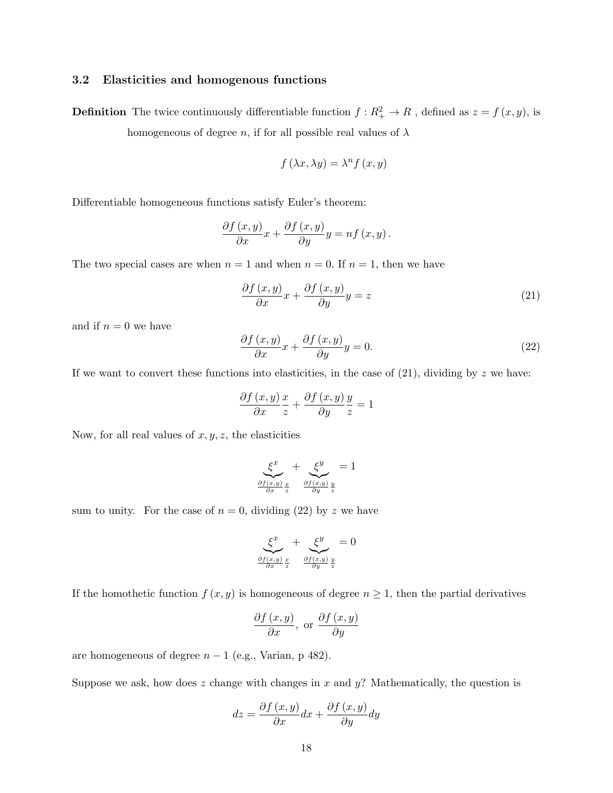#### 3.2 Elasticities and homogenous functions

**Definition** The twice continuously differentiable function  $f: R_+^2 \to R$ , defined as  $z = f(x, y)$ , is homogeneous of degree n, if for all possible real values of  $\lambda$ 

$$
f(\lambda x, \lambda y) = \lambda^n f(x, y)
$$

Differentiable homogeneous functions satisfy Euler's theorem:

$$
\frac{\partial f(x,y)}{\partial x}x + \frac{\partial f(x,y)}{\partial y}y = nf(x,y).
$$

The two special cases are when  $n = 1$  and when  $n = 0$ . If  $n = 1$ , then we have

$$
\frac{\partial f(x,y)}{\partial x}x + \frac{\partial f(x,y)}{\partial y}y = z \tag{21}
$$

and if  $n = 0$  we have

$$
\frac{\partial f(x,y)}{\partial x}x + \frac{\partial f(x,y)}{\partial y}y = 0.
$$
\n(22)

If we want to convert these functions into elasticities, in the case of  $(21)$ , dividing by z we have:

$$
\frac{\partial f(x,y)}{\partial x}\frac{x}{z} + \frac{\partial f(x,y)}{\partial y}\frac{y}{z} = 1
$$

Now, for all real values of  $x, y, z$ , the elasticities

$$
\underbrace{\xi^x}_{\frac{\partial f(x,y)}{\partial x} \frac{x}{z}} + \underbrace{\xi^y}_{\frac{\partial f(x,y)}{\partial y} \frac{y}{z}} = 1
$$

sum to unity. For the case of  $n = 0$ , dividing (22) by z we have

$$
\underbrace{\xi^x}_{\frac{\partial f(x,y)}{\partial x} \frac{x}{z}} + \underbrace{\xi^y}_{\frac{\partial f(x,y)}{\partial y} \frac{y}{z}} = 0
$$

If the homothetic function  $f(x, y)$  is homogeneous of degree  $n \geq 1$ , then the partial derivatives

$$
\frac{\partial f(x,y)}{\partial x}, \text{ or } \frac{\partial f(x,y)}{\partial y}
$$

are homogeneous of degree  $n - 1$  (e.g., Varian, p 482).

Suppose we ask, how does z change with changes in x and  $y$ ? Mathematically, the question is

$$
dz = \frac{\partial f(x, y)}{\partial x} dx + \frac{\partial f(x, y)}{\partial y} dy
$$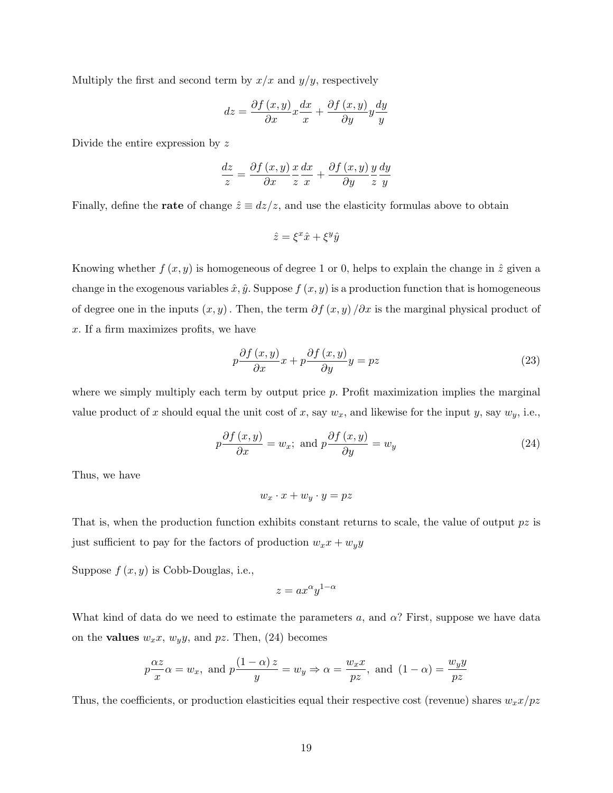Multiply the first and second term by  $x/x$  and  $y/y$ , respectively

$$
dz = \frac{\partial f\left(x, y\right)}{\partial x}x\frac{dx}{x} + \frac{\partial f\left(x, y\right)}{\partial y}y\frac{dy}{y}
$$

Divide the entire expression by z

$$
\frac{dz}{z} = \frac{\partial f(x, y)}{\partial x} \frac{x}{z} \frac{dx}{x} + \frac{\partial f(x, y)}{\partial y} \frac{y}{z} \frac{dy}{y}
$$

Finally, define the **rate** of change  $\hat{z} \equiv dz/z$ , and use the elasticity formulas above to obtain

$$
\hat{z} = \xi^x \hat{x} + \xi^y \hat{y}
$$

Knowing whether  $f(x, y)$  is homogeneous of degree 1 or 0, helps to explain the change in  $\hat{z}$  given a change in the exogenous variables  $\hat{x}, \hat{y}$ . Suppose  $f(x, y)$  is a production function that is homogeneous of degree one in the inputs  $(x, y)$ . Then, the term  $\partial f(x, y)/\partial x$  is the marginal physical product of x. If a firm maximizes profits, we have

$$
p\frac{\partial f\left(x,y\right)}{\partial x}x + p\frac{\partial f\left(x,y\right)}{\partial y}y = pz \tag{23}
$$

where we simply multiply each term by output price p. Profit maximization implies the marginal value product of x should equal the unit cost of x, say  $w_x$ , and likewise for the input y, say  $w_y$ , i.e.,

$$
p\frac{\partial f(x,y)}{\partial x} = w_x; \text{ and } p\frac{\partial f(x,y)}{\partial y} = w_y \tag{24}
$$

Thus, we have

$$
w_x \cdot x + w_y \cdot y = pz
$$

That is, when the production function exhibits constant returns to scale, the value of output  $pz$  is just sufficient to pay for the factors of production  $w_x x + w_y y$ 

Suppose  $f(x, y)$  is Cobb-Douglas, i.e.,

$$
z=ax^{\alpha}y^{1-\alpha}
$$

What kind of data do we need to estimate the parameters a, and  $\alpha$ ? First, suppose we have data on the **values**  $w_x x$ ,  $w_y y$ , and pz. Then, (24) becomes

$$
p\frac{\alpha z}{x}\alpha = w_x
$$
, and  $p\frac{(1-\alpha)z}{y} = w_y \Rightarrow \alpha = \frac{w_x x}{pz}$ , and  $(1-\alpha) = \frac{w_y y}{pz}$ 

Thus, the coefficients, or production elasticities equal their respective cost (revenue) shares  $w_x x / pz$